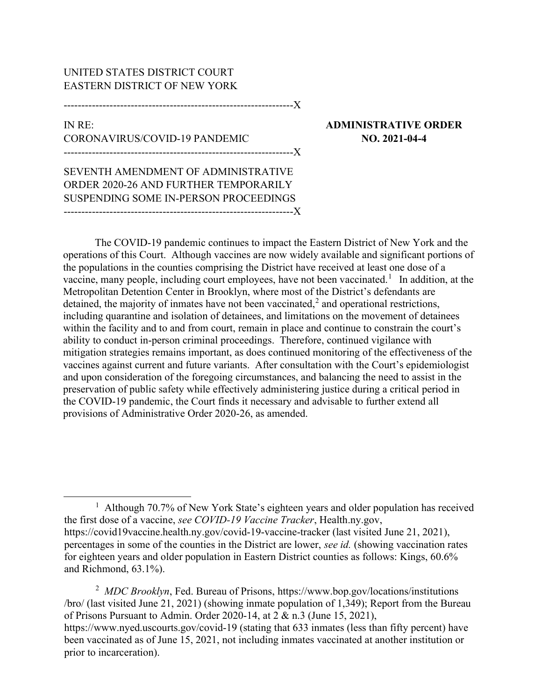## UNITED STATES DISTRICT COURT EASTERN DISTRICT OF NEW YORK

-----------------------------------------------------------------X

## IN RE: ADMINISTRATIVE ORDER CORONAVIRUS/COVID-19 PANDEMIC NO. 2021-04-4 -----------------------------------------------------------------X

SEVENTH AMENDMENT OF ADMINISTRATIVE ORDER 2020-26 AND FURTHER TEMPORARILY SUSPENDING SOME IN-PERSON PROCEEDINGS

-----------------------------------------------------------------X

The COVID-19 pandemic continues to impact the Eastern District of New York and the operations of this Court. Although vaccines are now widely available and significant portions of the populations in the counties comprising the District have received at least one dose of a vaccine, many people, including court employees, have not been vaccinated.<sup>1</sup> In addition, at the Metropolitan Detention Center in Brooklyn, where most of the District's defendants are detained, the majority of inmates have not been vaccinated,<sup>2</sup> and operational restrictions, including quarantine and isolation of detainees, and limitations on the movement of detainees within the facility and to and from court, remain in place and continue to constrain the court's ability to conduct in-person criminal proceedings. Therefore, continued vigilance with mitigation strategies remains important, as does continued monitoring of the effectiveness of the vaccines against current and future variants. After consultation with the Court's epidemiologist and upon consideration of the foregoing circumstances, and balancing the need to assist in the preservation of public safety while effectively administering justice during a critical period in the COVID-19 pandemic, the Court finds it necessary and advisable to further extend all provisions of Administrative Order 2020-26, as amended.

<sup>2</sup> MDC Brooklyn, Fed. Bureau of Prisons, https://www.bop.gov/locations/institutions /bro/ (last visited June 21, 2021) (showing inmate population of 1,349); Report from the Bureau of Prisons Pursuant to Admin. Order 2020-14, at 2 & n.3 (June 15, 2021), https://www.nyed.uscourts.gov/covid-19 (stating that 633 inmates (less than fifty percent) have been vaccinated as of June 15, 2021, not including inmates vaccinated at another institution or prior to incarceration).

<sup>&</sup>lt;sup>1</sup> Although 70.7% of New York State's eighteen years and older population has received the first dose of a vaccine, see COVID-19 Vaccine Tracker, Health.ny.gov, https://covid19vaccine.health.ny.gov/covid-19-vaccine-tracker (last visited June 21, 2021), percentages in some of the counties in the District are lower, see id. (showing vaccination rates for eighteen years and older population in Eastern District counties as follows: Kings, 60.6% and Richmond, 63.1%).